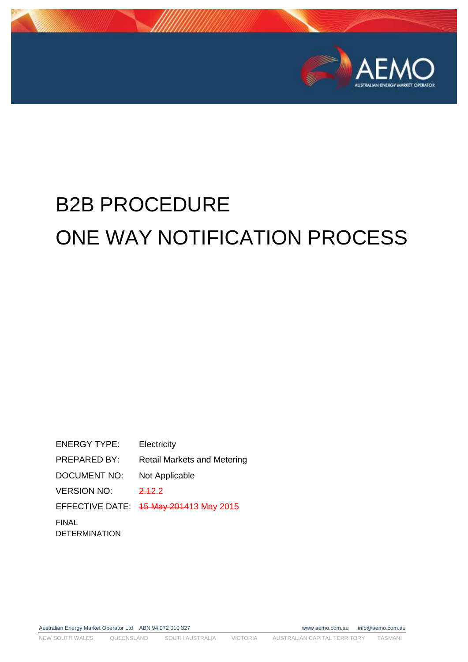

# B2B PROCEDURE ONE WAY NOTIFICATION PROCESS

ENERGY TYPE: Electricity PREPARED BY: Retail Markets and Metering DOCUMENT NO: Not Applicable VERSION NO: 2.12.2 EFFECTIVE DATE: 15 May 201413 May 2015 FINAL DETERMINATION

Australian Energy Market Operator Ltd ABN 94 072 010 327 www aemo.com.au info@aemo.com.au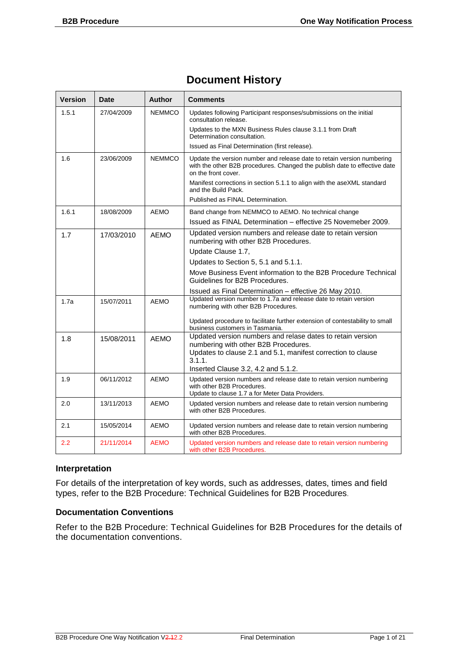#### **Document History**

| <b>Version</b> | <b>Date</b> | <b>Author</b> | Comments                                                                                                                                                                   |
|----------------|-------------|---------------|----------------------------------------------------------------------------------------------------------------------------------------------------------------------------|
| 1.5.1          | 27/04/2009  | <b>NEMMCO</b> | Updates following Participant responses/submissions on the initial<br>consultation release.<br>Updates to the MXN Business Rules clause 3.1.1 from Draft                   |
|                |             |               | Determination consultation.                                                                                                                                                |
|                |             |               | Issued as Final Determination (first release).                                                                                                                             |
| 1.6            | 23/06/2009  | <b>NEMMCO</b> | Update the version number and release date to retain version numbering<br>with the other B2B procedures. Changed the publish date to effective date<br>on the front cover. |
|                |             |               | Manifest corrections in section 5.1.1 to align with the aseXML standard<br>and the Build Pack.                                                                             |
|                |             |               | Published as FINAL Determination.                                                                                                                                          |
| 1.6.1          | 18/08/2009  | <b>AEMO</b>   | Band change from NEMMCO to AEMO. No technical change                                                                                                                       |
|                |             |               | Issued as FINAL Determination - effective 25 Novemeber 2009.                                                                                                               |
| 1.7            | 17/03/2010  | AEMO          | Updated version numbers and release date to retain version<br>numbering with other B2B Procedures.                                                                         |
|                |             |               | Update Clause 1.7,                                                                                                                                                         |
|                |             |               | Updates to Section 5, 5.1 and 5.1.1.                                                                                                                                       |
|                |             |               | Move Business Event information to the B2B Procedure Technical<br>Guidelines for B2B Procedures.                                                                           |
|                |             |               | Issued as Final Determination - effective 26 May 2010.                                                                                                                     |
| 1.7a           | 15/07/2011  | <b>AEMO</b>   | Updated version number to 1.7a and release date to retain version<br>numbering with other B2B Procedures.                                                                  |
|                |             |               | Updated procedure to facilitate further extension of contestability to small<br>business customers in Tasmania.                                                            |
| 1.8            | 15/08/2011  | <b>AEMO</b>   | Updated version numbers and relase dates to retain version<br>numbering with other B2B Procedures.                                                                         |
|                |             |               | Updates to clause 2.1 and 5.1, manifest correction to clause<br>3.1.1.<br>Inserted Clause 3.2, 4.2 and 5.1.2.                                                              |
| 1.9            | 06/11/2012  | <b>AEMO</b>   | Updated version numbers and release date to retain version numbering                                                                                                       |
|                |             |               | with other B2B Procedures.<br>Update to clause 1.7 a for Meter Data Providers.                                                                                             |
| 2.0            | 13/11/2013  | <b>AEMO</b>   | Updated version numbers and release date to retain version numbering<br>with other B2B Procedures.                                                                         |
| 2.1            | 15/05/2014  | <b>AEMO</b>   | Updated version numbers and release date to retain version numbering<br>with other B2B Procedures.                                                                         |
| 2.2            | 21/11/2014  | <b>AEMO</b>   | Updated version numbers and release date to retain version numbering<br>with other B2B Procedures.                                                                         |

#### **Interpretation**

For details of the interpretation of key words, such as addresses, dates, times and field types, refer to the B2B Procedure: Technical Guidelines for B2B Procedures.

#### **Documentation Conventions**

Refer to the B2B Procedure: Technical Guidelines for B2B Procedures for the details of the documentation conventions.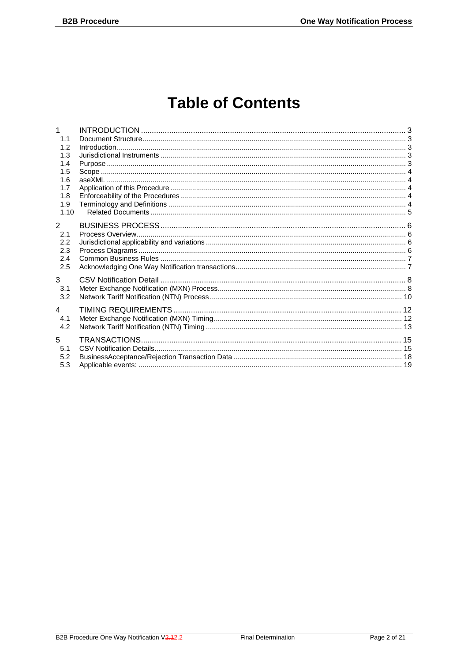## **Table of Contents**

| 1              |  |
|----------------|--|
| 1.1            |  |
| 1.2            |  |
| 1.3            |  |
| 1.4            |  |
| 1.5            |  |
| 1.6            |  |
| 1.7            |  |
| 1.8            |  |
| 1.9            |  |
| 1.10           |  |
| $\overline{2}$ |  |
| 2.1            |  |
| 2.2            |  |
| 2.3            |  |
| 2.4            |  |
| 2.5            |  |
|                |  |
| 3              |  |
| 3.1            |  |
| 3.2            |  |
| 4              |  |
| 4.1            |  |
| 4.2            |  |
|                |  |
| 5              |  |
| 5.1            |  |
| 5.2            |  |
| 5.3            |  |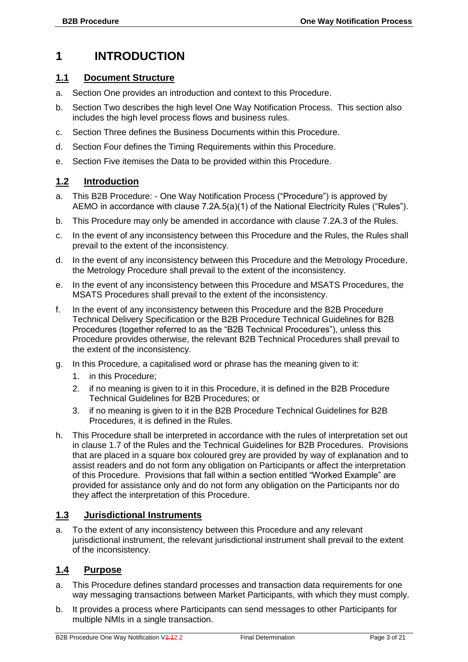### <span id="page-3-0"></span>**1 INTRODUCTION**

#### <span id="page-3-1"></span>**1.1 Document Structure**

- a. Section One provides an introduction and context to this Procedure.
- b. Section Two describes the high level One Way Notification Process. This section also includes the high level process flows and business rules.
- c. Section Three defines the Business Documents within this Procedure.
- d. Section Four defines the Timing Requirements within this Procedure.
- e. Section Five itemises the Data to be provided within this Procedure.

#### <span id="page-3-2"></span>**1.2 Introduction**

- a. This B2B Procedure: One Way Notification Process ("Procedure") is approved by AEMO in accordance with clause 7.2A.5(a)(1) of the National Electricity Rules ("Rules").
- b. This Procedure may only be amended in accordance with clause 7.2A.3 of the Rules.
- c. In the event of any inconsistency between this Procedure and the Rules, the Rules shall prevail to the extent of the inconsistency.
- d. In the event of any inconsistency between this Procedure and the Metrology Procedure, the Metrology Procedure shall prevail to the extent of the inconsistency.
- e. In the event of any inconsistency between this Procedure and MSATS Procedures, the MSATS Procedures shall prevail to the extent of the inconsistency.
- f. In the event of any inconsistency between this Procedure and the B2B Procedure Technical Delivery Specification or the B2B Procedure Technical Guidelines for B2B Procedures (together referred to as the "B2B Technical Procedures"), unless this Procedure provides otherwise, the relevant B2B Technical Procedures shall prevail to the extent of the inconsistency.
- g. In this Procedure, a capitalised word or phrase has the meaning given to it:
	- 1. in this Procedure;
	- 2. if no meaning is given to it in this Procedure, it is defined in the B2B Procedure Technical Guidelines for B2B Procedures; or
	- 3. if no meaning is given to it in the B2B Procedure Technical Guidelines for B2B Procedures, it is defined in the Rules.
- h. This Procedure shall be interpreted in accordance with the rules of interpretation set out in clause 1.7 of the Rules and the Technical Guidelines for B2B Procedures. Provisions that are placed in a square box coloured grey are provided by way of explanation and to assist readers and do not form any obligation on Participants or affect the interpretation of this Procedure. Provisions that fall within a section entitled "Worked Example" are provided for assistance only and do not form any obligation on the Participants nor do they affect the interpretation of this Procedure.

#### <span id="page-3-3"></span>**1.3 Jurisdictional Instruments**

a. To the extent of any inconsistency between this Procedure and any relevant jurisdictional instrument, the relevant jurisdictional instrument shall prevail to the extent of the inconsistency.

#### <span id="page-3-4"></span>**1.4 Purpose**

- a. This Procedure defines standard processes and transaction data requirements for one way messaging transactions between Market Participants, with which they must comply.
- b. It provides a process where Participants can send messages to other Participants for multiple NMIs in a single transaction.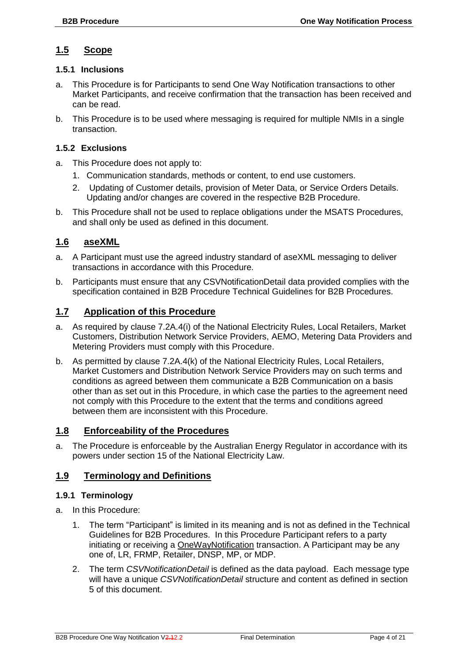#### <span id="page-4-0"></span>**1.5 Scope**

#### **1.5.1 Inclusions**

- a. This Procedure is for Participants to send One Way Notification transactions to other Market Participants, and receive confirmation that the transaction has been received and can be read.
- b. This Procedure is to be used where messaging is required for multiple NMIs in a single transaction.

#### **1.5.2 Exclusions**

- a. This Procedure does not apply to:
	- 1. Communication standards, methods or content, to end use customers.
	- 2. Updating of Customer details, provision of Meter Data, or Service Orders Details. Updating and/or changes are covered in the respective B2B Procedure.
- b. This Procedure shall not be used to replace obligations under the MSATS Procedures, and shall only be used as defined in this document.

#### <span id="page-4-1"></span>**1.6 aseXML**

- a. A Participant must use the agreed industry standard of aseXML messaging to deliver transactions in accordance with this Procedure.
- b. Participants must ensure that any CSVNotificationDetail data provided complies with the specification contained in B2B Procedure Technical Guidelines for B2B Procedures.

#### <span id="page-4-2"></span>**1.7 Application of this Procedure**

- a. As required by clause 7.2A.4(i) of the National Electricity Rules, Local Retailers, Market Customers, Distribution Network Service Providers, AEMO, Metering Data Providers and Metering Providers must comply with this Procedure.
- b. As permitted by clause 7.2A.4(k) of the National Electricity Rules, Local Retailers, Market Customers and Distribution Network Service Providers may on such terms and conditions as agreed between them communicate a B2B Communication on a basis other than as set out in this Procedure, in which case the parties to the agreement need not comply with this Procedure to the extent that the terms and conditions agreed between them are inconsistent with this Procedure.

#### <span id="page-4-3"></span>**1.8 Enforceability of the Procedures**

a. The Procedure is enforceable by the Australian Energy Regulator in accordance with its powers under section 15 of the National Electricity Law.

#### <span id="page-4-4"></span>**1.9 Terminology and Definitions**

#### **1.9.1 Terminology**

- a. In this Procedure:
	- 1. The term "Participant" is limited in its meaning and is not as defined in the Technical Guidelines for B2B Procedures. In this Procedure Participant refers to a party initiating or receiving a OneWayNotification transaction. A Participant may be any one of, LR, FRMP, Retailer, DNSP, MP, or MDP.
	- 2. The term *CSVNotificationDetail* is defined as the data payload. Each message type will have a unique *CSVNotificationDetail* structure and content as defined in section 5 of this document.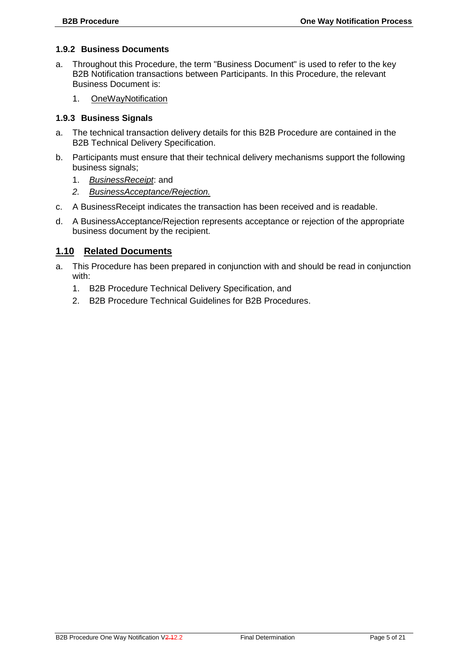#### **1.9.2 Business Documents**

- a. Throughout this Procedure, the term "Business Document" is used to refer to the key B2B Notification transactions between Participants. In this Procedure, the relevant Business Document is:
	- 1. OneWayNotification

#### **1.9.3 Business Signals**

- a. The technical transaction delivery details for this B2B Procedure are contained in the B2B Technical Delivery Specification.
- b. Participants must ensure that their technical delivery mechanisms support the following business signals;
	- 1. *BusinessReceipt*: and
	- *2. BusinessAcceptance/Rejection.*
- c. A BusinessReceipt indicates the transaction has been received and is readable.
- d. A BusinessAcceptance/Rejection represents acceptance or rejection of the appropriate business document by the recipient.

#### <span id="page-5-0"></span>**1.10 Related Documents**

- a. This Procedure has been prepared in conjunction with and should be read in conjunction with:
	- 1. B2B Procedure Technical Delivery Specification, and
	- 2. B2B Procedure Technical Guidelines for B2B Procedures.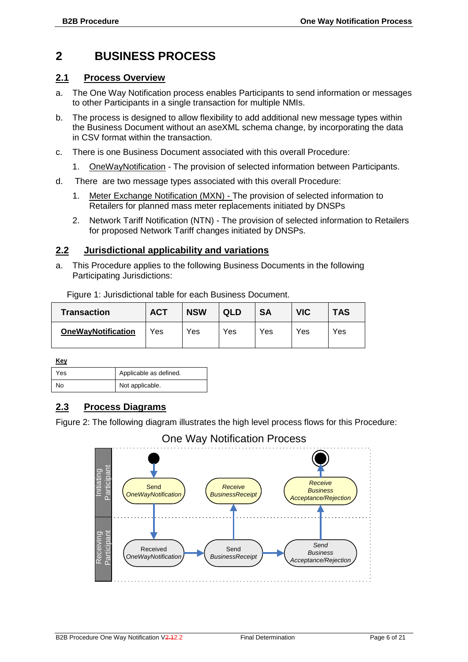### <span id="page-6-0"></span>**2 BUSINESS PROCESS**

#### <span id="page-6-1"></span>**2.1 Process Overview**

- a. The One Way Notification process enables Participants to send information or messages to other Participants in a single transaction for multiple NMIs.
- b. The process is designed to allow flexibility to add additional new message types within the Business Document without an aseXML schema change, by incorporating the data in CSV format within the transaction.
- c. There is one Business Document associated with this overall Procedure:
	- 1. OneWayNotification The provision of selected information between Participants.
- d. There are two message types associated with this overall Procedure:
	- 1. Meter Exchange Notification (MXN) The provision of selected information to Retailers for planned mass meter replacements initiated by DNSPs
	- 2. Network Tariff Notification (NTN) The provision of selected information to Retailers for proposed Network Tariff changes initiated by DNSPs.

#### <span id="page-6-2"></span>**2.2 Jurisdictional applicability and variations**

Figure 1: Jurisdictional table for each Business Document.

a. This Procedure applies to the following Business Documents in the following Participating Jurisdictions:

| <b>Transaction</b>        | <b>ACT</b> | <b>NSW</b> | QLD | <b>SA</b> | <b>VIC</b> | <b>TAS</b> |
|---------------------------|------------|------------|-----|-----------|------------|------------|
| <b>OneWayNotification</b> | Yes        | Yes        | Yes | Yes       | Yes        | Yes        |

**Key**

| .   |                        |
|-----|------------------------|
| Yes | Applicable as defined. |
| No  | Not applicable.        |

#### <span id="page-6-3"></span>**2.3 Process Diagrams**

Figure 2: The following diagram illustrates the high level process flows for this Procedure:

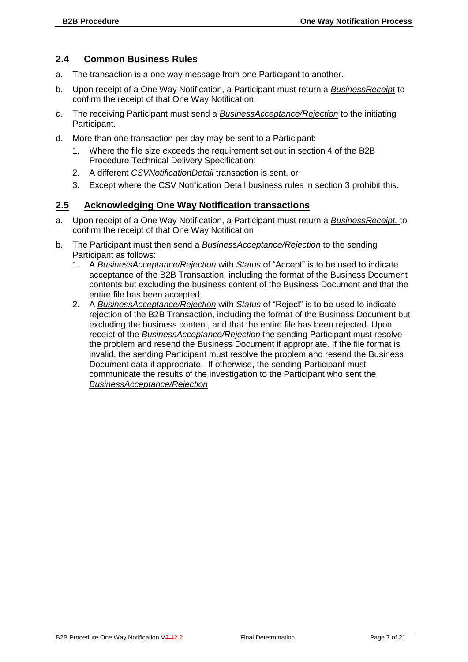#### <span id="page-7-0"></span>**2.4 Common Business Rules**

- a. The transaction is a one way message from one Participant to another.
- b. Upon receipt of a One Way Notification, a Participant must return a *BusinessReceipt* to confirm the receipt of that One Way Notification.
- c. The receiving Participant must send a *BusinessAcceptance/Rejection* to the initiating Participant.
- d. More than one transaction per day may be sent to a Participant:
	- 1. Where the file size exceeds the requirement set out in section 4 of the B2B Procedure Technical Delivery Specification;
	- 2. A different *CSVNotificationDetail* transaction is sent, or
	- 3. Except where the CSV Notification Detail business rules in section 3 prohibit this.

#### <span id="page-7-1"></span>**2.5 Acknowledging One Way Notification transactions**

- a. Upon receipt of a One Way Notification, a Participant must return a *BusinessReceipt.* to confirm the receipt of that One Way Notification
- b. The Participant must then send a *BusinessAcceptance/Rejection* to the sending Participant as follows:
	- 1. A *BusinessAcceptance/Rejection* with *Status* of "Accept" is to be used to indicate acceptance of the B2B Transaction, including the format of the Business Document contents but excluding the business content of the Business Document and that the entire file has been accepted.
	- 2. A *BusinessAcceptance/Rejection* with *Status* of "Reject" is to be used to indicate rejection of the B2B Transaction, including the format of the Business Document but excluding the business content, and that the entire file has been rejected. Upon receipt of the *BusinessAcceptance/Rejection* the sending Participant must resolve the problem and resend the Business Document if appropriate. If the file format is invalid, the sending Participant must resolve the problem and resend the Business Document data if appropriate. If otherwise, the sending Participant must communicate the results of the investigation to the Participant who sent the *BusinessAcceptance/Rejection*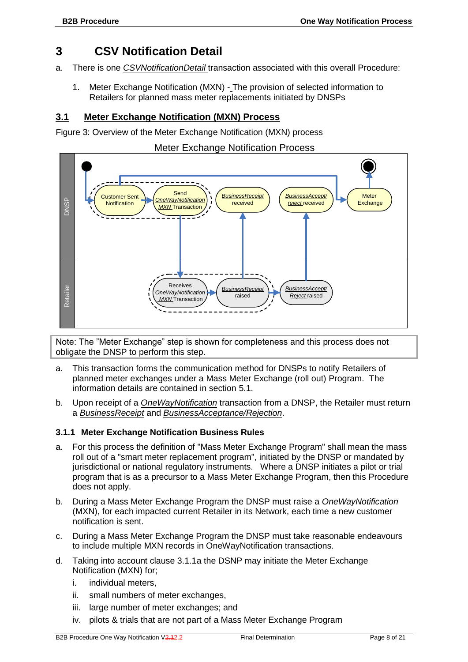#### <span id="page-8-0"></span>**3 CSV Notification Detail**

- a. There is one *CSVNotificationDetail* transaction associated with this overall Procedure:
	- 1. Meter Exchange Notification (MXN) The provision of selected information to Retailers for planned mass meter replacements initiated by DNSPs

#### <span id="page-8-1"></span>**3.1 Meter Exchange Notification (MXN) Process**

Figure 3: Overview of the Meter Exchange Notification (MXN) process

#### Meter Exchange Notification Process



Note: The "Meter Exchange" step is shown for completeness and this process does not obligate the DNSP to perform this step.

- a. This transaction forms the communication method for DNSPs to notify Retailers of planned meter exchanges under a Mass Meter Exchange (roll out) Program. The information details are contained in section [5.1.](#page-15-1)
- b. Upon receipt of a *OneWayNotification* transaction from a DNSP, the Retailer must return a *BusinessReceipt* and *BusinessAcceptance/Rejection*.

#### **3.1.1 Meter Exchange Notification Business Rules**

- a. For this process the definition of "Mass Meter Exchange Program" shall mean the mass roll out of a "smart meter replacement program", initiated by the DNSP or mandated by jurisdictional or national regulatory instruments. Where a DNSP initiates a pilot or trial program that is as a precursor to a Mass Meter Exchange Program, then this Procedure does not apply.
- b. During a Mass Meter Exchange Program the DNSP must raise a *OneWayNotification* (MXN), for each impacted current Retailer in its Network, each time a new customer notification is sent.
- c. During a Mass Meter Exchange Program the DNSP must take reasonable endeavours to include multiple MXN records in OneWayNotification transactions.
- d. Taking into account clause 3.1.1a the DSNP may initiate the Meter Exchange Notification (MXN) for;
	- i. individual meters,
	- ii. small numbers of meter exchanges,
	- iii. large number of meter exchanges; and
	- iv. pilots & trials that are not part of a Mass Meter Exchange Program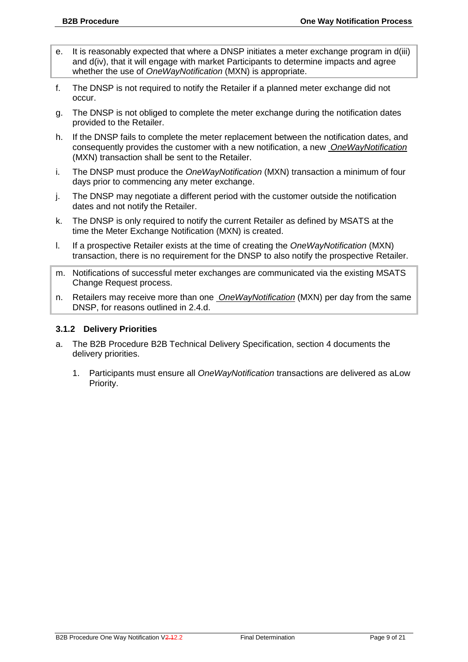- e. It is reasonably expected that where a DNSP initiates a meter exchange program in d(iii) and  $d(iv)$ , that it will engage with market Participants to determine impacts and agree whether the use of *OneWayNotification* (MXN) is appropriate.
- f. The DNSP is not required to notify the Retailer if a planned meter exchange did not occur.
- g. The DNSP is not obliged to complete the meter exchange during the notification dates provided to the Retailer.
- h. If the DNSP fails to complete the meter replacement between the notification dates, and consequently provides the customer with a new notification, a new *OneWayNotification* (MXN) transaction shall be sent to the Retailer.
- i. The DNSP must produce the *OneWayNotification* (MXN) transaction a minimum of four days prior to commencing any meter exchange.
- j. The DNSP may negotiate a different period with the customer outside the notification dates and not notify the Retailer.
- k. The DNSP is only required to notify the current Retailer as defined by MSATS at the time the Meter Exchange Notification (MXN) is created.
- l. If a prospective Retailer exists at the time of creating the *OneWayNotification* (MXN) transaction, there is no requirement for the DNSP to also notify the prospective Retailer.
- m. Notifications of successful meter exchanges are communicated via the existing MSATS Change Request process.
- n. Retailers may receive more than one *OneWayNotification* (MXN) per day from the same DNSP, for reasons outlined in 2.4.d.

#### **3.1.2 Delivery Priorities**

- a. The B2B Procedure B2B Technical Delivery Specification, section 4 documents the delivery priorities.
	- 1. Participants must ensure all *OneWayNotification* transactions are delivered as aLow Priority.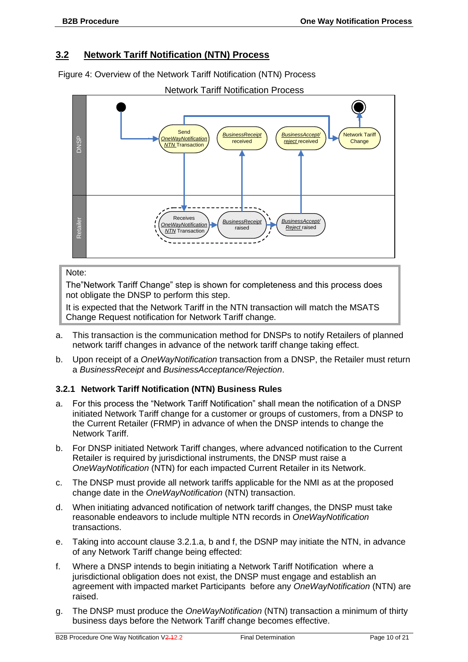#### <span id="page-10-0"></span>**3.2 Network Tariff Notification (NTN) Process**

Figure 4: Overview of the Network Tariff Notification (NTN) Process



#### Note:

The"Network Tariff Change" step is shown for completeness and this process does not obligate the DNSP to perform this step.

It is expected that the Network Tariff in the NTN transaction will match the MSATS Change Request notification for Network Tariff change.

- a. This transaction is the communication method for DNSPs to notify Retailers of planned network tariff changes in advance of the network tariff change taking effect.
- b. Upon receipt of a *OneWayNotification* transaction from a DNSP, the Retailer must return a *BusinessReceipt* and *BusinessAcceptance/Rejection*.

#### **3.2.1 Network Tariff Notification (NTN) Business Rules**

- a. For this process the "Network Tariff Notification" shall mean the notification of a DNSP initiated Network Tariff change for a customer or groups of customers, from a DNSP to the Current Retailer (FRMP) in advance of when the DNSP intends to change the Network Tariff.
- b. For DNSP initiated Network Tariff changes, where advanced notification to the Current Retailer is required by jurisdictional instruments, the DNSP must raise a *OneWayNotification* (NTN) for each impacted Current Retailer in its Network.
- c. The DNSP must provide all network tariffs applicable for the NMI as at the proposed change date in the *OneWayNotification* (NTN) transaction.
- d. When initiating advanced notification of network tariff changes, the DNSP must take reasonable endeavors to include multiple NTN records in *OneWayNotification* transactions.
- e. Taking into account clause 3.2.1.a, b and f, the DSNP may initiate the NTN, in advance of any Network Tariff change being effected:
- f. Where a DNSP intends to begin initiating a Network Tariff Notification where a jurisdictional obligation does not exist, the DNSP must engage and establish an agreement with impacted market Participants before any *OneWayNotification* (NTN) are raised.
- g. The DNSP must produce the *OneWayNotification* (NTN) transaction a minimum of thirty business days before the Network Tariff change becomes effective.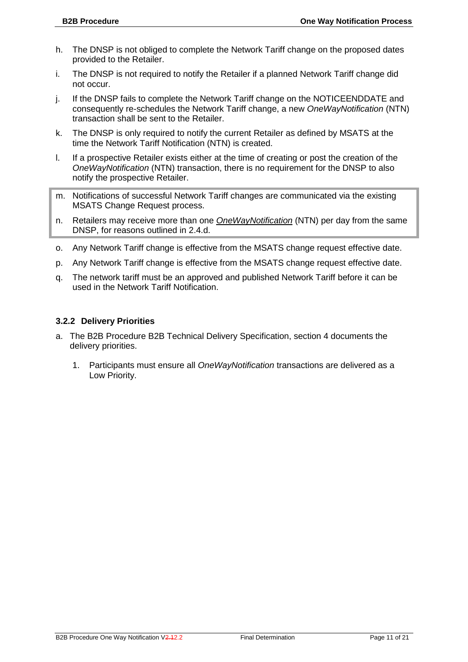- h. The DNSP is not obliged to complete the Network Tariff change on the proposed dates provided to the Retailer.
- i. The DNSP is not required to notify the Retailer if a planned Network Tariff change did not occur.
- j. If the DNSP fails to complete the Network Tariff change on the NOTICEENDDATE and consequently re-schedules the Network Tariff change, a new *OneWayNotification* (NTN) transaction shall be sent to the Retailer.
- k. The DNSP is only required to notify the current Retailer as defined by MSATS at the time the Network Tariff Notification (NTN) is created.
- l. If a prospective Retailer exists either at the time of creating or post the creation of the *OneWayNotification* (NTN) transaction, there is no requirement for the DNSP to also notify the prospective Retailer.
- m. Notifications of successful Network Tariff changes are communicated via the existing MSATS Change Request process.
- n. Retailers may receive more than one *OneWayNotification* (NTN) per day from the same DNSP, for reasons outlined in 2.4.d.
- o. Any Network Tariff change is effective from the MSATS change request effective date.
- p. Any Network Tariff change is effective from the MSATS change request effective date.
- q. The network tariff must be an approved and published Network Tariff before it can be used in the Network Tariff Notification.

#### **3.2.2 Delivery Priorities**

- a. The B2B Procedure B2B Technical Delivery Specification, section 4 documents the delivery priorities.
	- 1. Participants must ensure all *OneWayNotification* transactions are delivered as a Low Priority.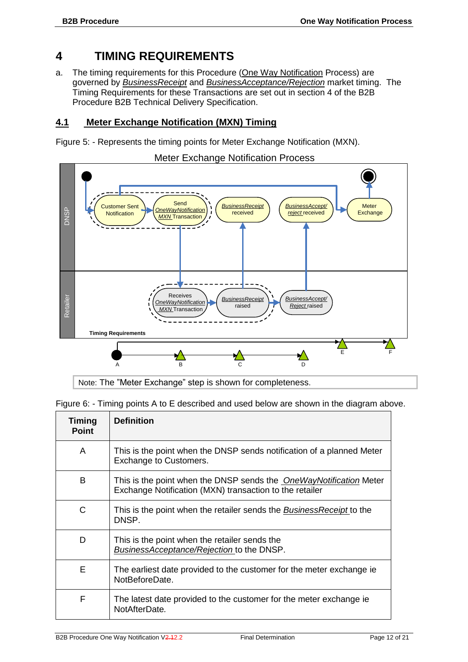#### <span id="page-12-0"></span>**4 TIMING REQUIREMENTS**

a. The timing requirements for this Procedure (One Way Notification Process) are governed by *BusinessReceipt* and *BusinessAcceptance/Rejection* market timing. The Timing Requirements for these Transactions are set out in section 4 of the B2B Procedure B2B Technical Delivery Specification.

#### <span id="page-12-1"></span>**4.1 Meter Exchange Notification (MXN) Timing**

Figure 5: - Represents the timing points for Meter Exchange Notification (MXN).



Note: The "Meter Exchange" step is shown for completeness.

Figure 6: - Timing points A to E described and used below are shown in the diagram above.

| <b>Timing</b><br><b>Point</b> | <b>Definition</b>                                                                                                                    |
|-------------------------------|--------------------------------------------------------------------------------------------------------------------------------------|
| A                             | This is the point when the DNSP sends notification of a planned Meter<br>Exchange to Customers.                                      |
| B                             | This is the point when the DNSP sends the <i>OneWayNotification</i> Meter<br>Exchange Notification (MXN) transaction to the retailer |
| C                             | This is the point when the retailer sends the <i>BusinessReceipt</i> to the<br>DNSP.                                                 |
| D                             | This is the point when the retailer sends the<br><b>BusinessAcceptance/Rejection to the DNSP.</b>                                    |
| Е                             | The earliest date provided to the customer for the meter exchange ie<br>NotBeforeDate.                                               |
| F                             | The latest date provided to the customer for the meter exchange ie<br>NotAfterDate.                                                  |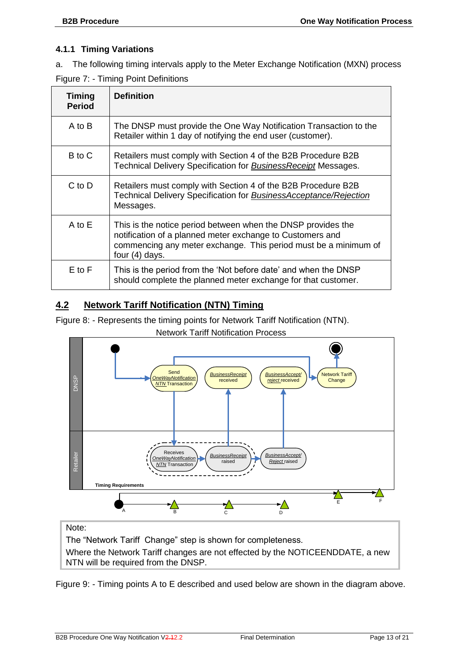#### **4.1.1 Timing Variations**

a. The following timing intervals apply to the Meter Exchange Notification (MXN) process

|  |  |  | Figure 7: - Timing Point Definitions |
|--|--|--|--------------------------------------|
|--|--|--|--------------------------------------|

| <b>Timing</b><br><b>Period</b> | <b>Definition</b>                                                                                                                                                                                              |
|--------------------------------|----------------------------------------------------------------------------------------------------------------------------------------------------------------------------------------------------------------|
| A to B                         | The DNSP must provide the One Way Notification Transaction to the<br>Retailer within 1 day of notifying the end user (customer).                                                                               |
| B to C                         | Retailers must comply with Section 4 of the B2B Procedure B2B<br>Technical Delivery Specification for <b>Business Receipt</b> Messages.                                                                        |
| C to D                         | Retailers must comply with Section 4 of the B2B Procedure B2B<br>Technical Delivery Specification for <b>BusinessAcceptance/Rejection</b><br>Messages.                                                         |
| A to E                         | This is the notice period between when the DNSP provides the<br>notification of a planned meter exchange to Customers and<br>commencing any meter exchange. This period must be a minimum of<br>four (4) days. |
| $E$ to $F$                     | This is the period from the 'Not before date' and when the DNSP<br>should complete the planned meter exchange for that customer.                                                                               |

#### <span id="page-13-0"></span>**4.2 Network Tariff Notification (NTN) Timing**

Figure 8: - Represents the timing points for Network Tariff Notification (NTN).



Network Tariff Notification Process

#### Note:

The "Network Tariff Change" step is shown for completeness.

Where the Network Tariff changes are not effected by the NOTICEENDDATE, a new NTN will be required from the DNSP.

Figure 9: - Timing points A to E described and used below are shown in the diagram above.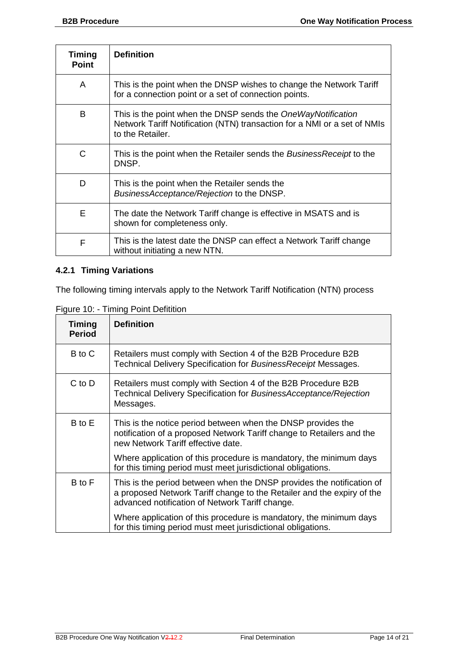| <b>Timing</b><br><b>Point</b> | <b>Definition</b>                                                                                                                                            |
|-------------------------------|--------------------------------------------------------------------------------------------------------------------------------------------------------------|
| A                             | This is the point when the DNSP wishes to change the Network Tariff<br>for a connection point or a set of connection points.                                 |
| B                             | This is the point when the DNSP sends the OneWayNotification<br>Network Tariff Notification (NTN) transaction for a NMI or a set of NMIs<br>to the Retailer. |
| C                             | This is the point when the Retailer sends the BusinessReceipt to the<br>DNSP.                                                                                |
| D                             | This is the point when the Retailer sends the<br>BusinessAcceptance/Rejection to the DNSP.                                                                   |
| Е                             | The date the Network Tariff change is effective in MSATS and is<br>shown for completeness only.                                                              |
| F                             | This is the latest date the DNSP can effect a Network Tariff change<br>without initiating a new NTN.                                                         |

#### **4.2.1 Timing Variations**

The following timing intervals apply to the Network Tariff Notification (NTN) process

Figure 10: - Timing Point Defitition

| Timing<br><b>Period</b> | <b>Definition</b>                                                                                                                                                                                  |
|-------------------------|----------------------------------------------------------------------------------------------------------------------------------------------------------------------------------------------------|
| B to C                  | Retailers must comply with Section 4 of the B2B Procedure B2B<br>Technical Delivery Specification for Business Receipt Messages.                                                                   |
| $C$ to $D$              | Retailers must comply with Section 4 of the B2B Procedure B2B<br>Technical Delivery Specification for BusinessAcceptance/Rejection<br>Messages.                                                    |
| B to E                  | This is the notice period between when the DNSP provides the<br>notification of a proposed Network Tariff change to Retailers and the<br>new Network Tariff effective date.                        |
|                         | Where application of this procedure is mandatory, the minimum days<br>for this timing period must meet jurisdictional obligations.                                                                 |
| B to F                  | This is the period between when the DNSP provides the notification of<br>a proposed Network Tariff change to the Retailer and the expiry of the<br>advanced notification of Network Tariff change. |
|                         | Where application of this procedure is mandatory, the minimum days<br>for this timing period must meet jurisdictional obligations.                                                                 |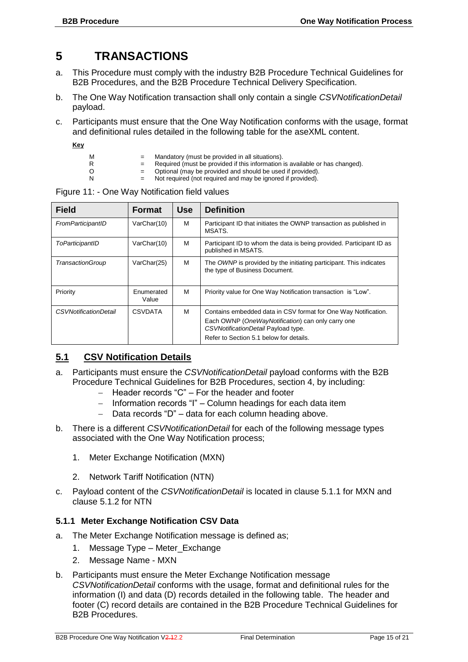## <span id="page-15-0"></span>**5 TRANSACTIONS**

- a. This Procedure must comply with the industry B2B Procedure Technical Guidelines for B2B Procedures, and the B2B Procedure Technical Delivery Specification.
- b. The One Way Notification transaction shall only contain a single *CSVNotificationDetail* payload.
- c. Participants must ensure that the One Way Notification conforms with the usage, format and definitional rules detailed in the following table for the aseXML content.
	- **Key**
- 
- $M =$  Mandatory (must be provided in all situations).<br>R  $=$  Required (must be provided if this information) R = Required (must be provided if this information is available or has changed).<br>O = Optional (may be provided and should be used if provided).
- O = Optional (may be provided and should be used if provided).<br>N = Not required (not required and may be ignored if provided).
	- Not required (not required and may be ignored if provided).

| <b>Field</b>                 | <b>Format</b>       | <b>Use</b> | <b>Definition</b>                                                                                    |
|------------------------------|---------------------|------------|------------------------------------------------------------------------------------------------------|
|                              |                     |            |                                                                                                      |
| FromParticipantID            | VarChar(10)         | м          | Participant ID that initiates the OWNP transaction as published in<br>MSATS.                         |
| ToParticipantID              | VarChar(10)         | м          | Participant ID to whom the data is being provided. Participant ID as<br>published in MSATS.          |
| TransactionGroup             | VarChar(25)         | м          | The OWNP is provided by the initiating participant. This indicates<br>the type of Business Document. |
| Priority                     | Enumerated<br>Value | м          | Priority value for One Way Notification transaction is "Low".                                        |
| <b>CSVNotificationDetail</b> | <b>CSVDATA</b>      | M          | Contains embedded data in CSV format for One Way Notification.                                       |
|                              |                     |            | Each OWNP (OneWayNotification) can only carry one<br>CSVNotificationDetail Payload type.             |
|                              |                     |            | Refer to Section 5.1 below for details.                                                              |

Figure 11: - One Way Notification field values

#### <span id="page-15-1"></span>**5.1 CSV Notification Details**

- a. Participants must ensure the *CSVNotificationDetail* payload conforms with the B2B Procedure Technical Guidelines for B2B Procedures, section 4, by including:
	- Header records "C" For the header and footer
	- Information records "I" Column headings for each data item
	- Data records "D" data for each column heading above.
- b. There is a different *CSVNotificationDetail* for each of the following message types associated with the One Way Notification process;
	- 1. Meter Exchange Notification (MXN)
	- 2. Network Tariff Notification (NTN)
- c. Payload content of the *CSVNotificationDetail* is located in clause 5.1.1 for MXN and clause 5.1.2 for NTN

#### **5.1.1 Meter Exchange Notification CSV Data**

- a. The Meter Exchange Notification message is defined as;
	- 1. Message Type Meter\_Exchange
	- 2. Message Name MXN
- b. Participants must ensure the Meter Exchange Notification message *CSVNotificationDetail* conforms with the usage, format and definitional rules for the information (I) and data (D) records detailed in the following table. The header and footer (C) record details are contained in the B2B Procedure Technical Guidelines for B2B Procedures.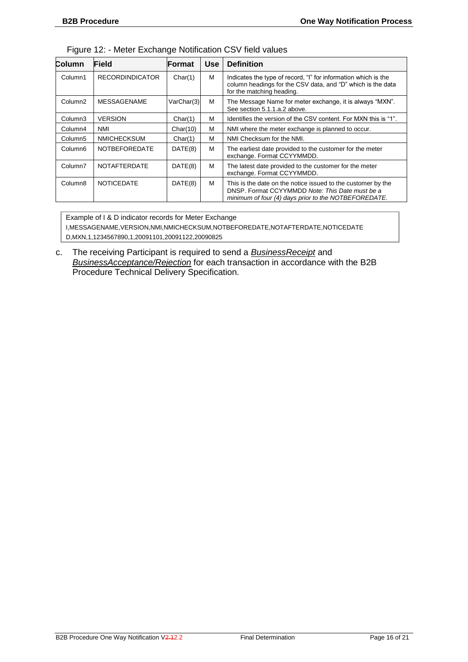| Column              | Field                  | Format     | <b>Use</b> | <b>Definition</b>                                                                                                                                                       |
|---------------------|------------------------|------------|------------|-------------------------------------------------------------------------------------------------------------------------------------------------------------------------|
| Column1             | <b>RECORDINDICATOR</b> | Char(1)    | M          | Indicates the type of record, "I" for information which is the<br>column headings for the CSV data, and "D" which is the data<br>for the matching heading.              |
| Column <sub>2</sub> | <b>MESSAGENAME</b>     | VarChar(3) | M          | The Message Name for meter exchange, it is always "MXN".<br>See section 5.1.1.a.2 above.                                                                                |
| Column <sub>3</sub> | <b>VERSION</b>         | Char(1)    | M          | Identifies the version of the CSV content. For MXN this is "1".                                                                                                         |
| Column4             | <b>NMI</b>             | Char(10)   | M          | NMI where the meter exchange is planned to occur.                                                                                                                       |
| Column <sub>5</sub> | <b>NMICHECKSUM</b>     | Char(1)    | M          | NMI Checksum for the NMI.                                                                                                                                               |
| Column <sub>6</sub> | <b>NOTBEFOREDATE</b>   | DATE(8)    | M          | The earliest date provided to the customer for the meter<br>exchange. Format CCYYMMDD.                                                                                  |
| Column7             | <b>NOTAFTERDATE</b>    | DATE(8)    | M          | The latest date provided to the customer for the meter<br>exchange. Format CCYYMMDD.                                                                                    |
| Column <sub>8</sub> | <b>NOTICEDATE</b>      | DATE(8)    | M          | This is the date on the notice issued to the customer by the<br>DNSP. Format CCYYMMDD Note: This Date must be a<br>minimum of four (4) days prior to the NOTBEFOREDATE. |

Figure 12: - Meter Exchange Notification CSV field values

Example of I & D indicator records for Meter Exchange I,MESSAGENAME,VERSION,NMI,NMICHECKSUM,NOTBEFOREDATE,NOTAFTERDATE,NOTICEDATE D,MXN,1,1234567890,1,20091101,20091122,20090825

c. The receiving Participant is required to send a *BusinessReceipt* and *BusinessAcceptance/Rejection* for each transaction in accordance with the B2B Procedure Technical Delivery Specification.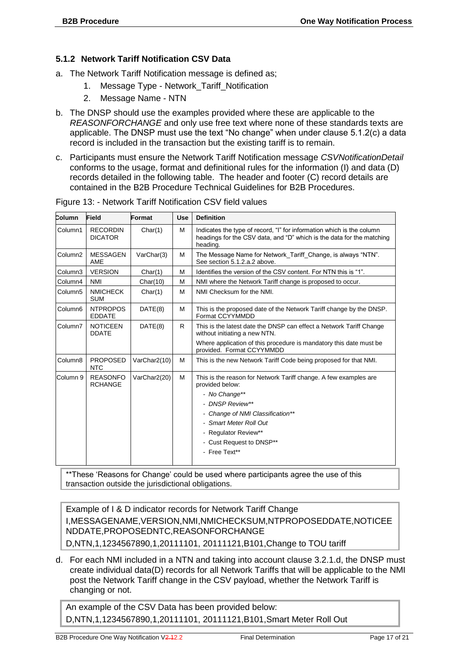#### **5.1.2 Network Tariff Notification CSV Data**

- a. The Network Tariff Notification message is defined as;
	- 1. Message Type Network\_Tariff\_Notification
	- 2. Message Name NTN
- b. The DNSP should use the examples provided where these are applicable to the *REASONFORCHANGE* and only use free text where none of these standards texts are applicable. The DNSP must use the text "No change" when under clause 5.1.2(c) a data record is included in the transaction but the existing tariff is to remain.
- c. Participants must ensure the Network Tariff Notification message *CSVNotificationDetail* conforms to the usage, format and definitional rules for the information (I) and data (D) records detailed in the following table. The header and footer (C) record details are contained in the B2B Procedure Technical Guidelines for B2B Procedures.

| Column              | Field                             | Format       | <b>Use</b> | <b>Definition</b>                                                                                                                                          |
|---------------------|-----------------------------------|--------------|------------|------------------------------------------------------------------------------------------------------------------------------------------------------------|
| Column1             | <b>RECORDIN</b><br><b>DICATOR</b> | Char(1)      | M          | Indicates the type of record, "I" for information which is the column<br>headings for the CSV data, and "D" which is the data for the matching<br>heading. |
| Column <sub>2</sub> | <b>MESSAGEN</b><br>AME            | VarChar(3)   | M          | The Message Name for Network Tariff Change, is always "NTN".<br>See section 5.1.2.a.2 above.                                                               |
| Column3             | <b>VERSION</b>                    | Char(1)      | M          | Identifies the version of the CSV content. For NTN this is "1".                                                                                            |
| Column4             | <b>NMI</b>                        | Char(10)     | M          | NMI where the Network Tariff change is proposed to occur.                                                                                                  |
| Column5             | <b>NMICHECK</b><br><b>SUM</b>     | Char(1)      | M          | NMI Checksum for the NMI.                                                                                                                                  |
| Column <sub>6</sub> | <b>NTPROPOS</b><br><b>EDDATE</b>  | DATE(8)      | M          | This is the proposed date of the Network Tariff change by the DNSP.<br>Format CCYYMMDD                                                                     |
| Column7             | <b>NOTICEEN</b><br><b>DDATE</b>   | DATE(8)      | R          | This is the latest date the DNSP can effect a Network Tariff Change<br>without initiating a new NTN.                                                       |
|                     |                                   |              |            | Where application of this procedure is mandatory this date must be<br>provided. Format CCYYMMDD                                                            |
| Column8             | <b>PROPOSED</b><br><b>NTC</b>     | VarChar2(10) | M          | This is the new Network Tariff Code being proposed for that NMI.                                                                                           |
| Column 9            | <b>REASONFO</b><br><b>RCHANGE</b> | VarChar2(20) | M          | This is the reason for Network Tariff change. A few examples are<br>provided below:                                                                        |
|                     |                                   |              |            | - No Change**                                                                                                                                              |
|                     |                                   |              |            | - DNSP Review**                                                                                                                                            |
|                     |                                   |              |            | - Change of NMI Classification**                                                                                                                           |
|                     |                                   |              |            | - Smart Meter Roll Out                                                                                                                                     |
|                     |                                   |              |            | - Regulator Review**                                                                                                                                       |
|                     |                                   |              |            | - Cust Request to DNSP**                                                                                                                                   |
|                     |                                   |              |            | - Free Text**                                                                                                                                              |
|                     |                                   |              |            |                                                                                                                                                            |

Figure 13: - Network Tariff Notification CSV field values

\*\*These 'Reasons for Change' could be used where participants agree the use of this transaction outside the jurisdictional obligations.

Example of I & D indicator records for Network Tariff Change I,MESSAGENAME,VERSION,NMI,NMICHECKSUM,NTPROPOSEDDATE,NOTICEE NDDATE,PROPOSEDNTC,REASONFORCHANGE D,NTN,1,1234567890,1,20111101, 20111121,B101,Change to TOU tariff

d. For each NMI included in a NTN and taking into account clause 3.2.1.d, the DNSP must create individual data(D) records for all Network Tariffs that will be applicable to the NMI post the Network Tariff change in the CSV payload, whether the Network Tariff is changing or not.

An example of the CSV Data has been provided below: D,NTN,1,1234567890,1,20111101, 20111121,B101,Smart Meter Roll Out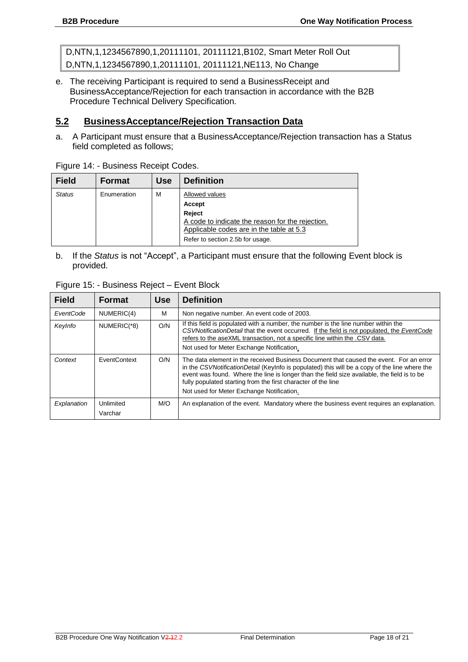D,NTN,1,1234567890,1,20111101, 20111121,B102, Smart Meter Roll Out D,NTN,1,1234567890,1,20111101, 20111121,NE113, No Change

e. The receiving Participant is required to send a BusinessReceipt and BusinessAcceptance/Rejection for each transaction in accordance with the B2B Procedure Technical Delivery Specification.

#### <span id="page-18-0"></span>**5.2 BusinessAcceptance/Rejection Transaction Data**

a. A Participant must ensure that a BusinessAcceptance/Rejection transaction has a Status field completed as follows;

| <b>Field</b>  | <b>Format</b> | <b>Use</b> | <b>Definition</b>                                |
|---------------|---------------|------------|--------------------------------------------------|
| <b>Status</b> | Enumeration   | м          | Allowed values                                   |
|               |               |            | <b>Accept</b>                                    |
|               |               |            | Reject                                           |
|               |               |            | A code to indicate the reason for the rejection. |
|               |               |            | Applicable codes are in the table at 5.3         |
|               |               |            | Refer to section 2.5b for usage.                 |

Figure 14: - Business Receipt Codes.

b. If the *Status* is not "Accept", a Participant must ensure that the following Event block is provided.

| Figure 15: - Business Reject - Event Block |               |            |                                                                                                                                                                                                                                                                                                               |  |  |
|--------------------------------------------|---------------|------------|---------------------------------------------------------------------------------------------------------------------------------------------------------------------------------------------------------------------------------------------------------------------------------------------------------------|--|--|
| <b>Field</b>                               | <b>Format</b> | <b>Use</b> | <b>Definition</b>                                                                                                                                                                                                                                                                                             |  |  |
| EventCode                                  | NUMERIC(4)    | M          | Non negative number. An event code of 2003.                                                                                                                                                                                                                                                                   |  |  |
| KeyInfo                                    | NUMERIC(*8)   | O/N        | If this field is populated with a number, the number is the line number within the<br>CSVNotificationDetail that the event occurred. If the field is not populated, the EventCode<br>refers to the aseXML transaction, not a specific line within the .CSV data.<br>Not used for Meter Exchange Notification. |  |  |
| Context                                    | EventContext  | O/N        | The data element in the received Business Document that caused the event. For an error                                                                                                                                                                                                                        |  |  |

|             |                      |     | NOT used for Meter Exchange Notification.                                                                                                                                                                                                                                                                                                                                                            |  |
|-------------|----------------------|-----|------------------------------------------------------------------------------------------------------------------------------------------------------------------------------------------------------------------------------------------------------------------------------------------------------------------------------------------------------------------------------------------------------|--|
| Context     | EventContext         | O/N | The data element in the received Business Document that caused the event. For an error<br>in the CSVNotificationDetail (Keylnfo is populated) this will be a copy of the line where the<br>event was found. Where the line is longer than the field size available, the field is to be<br>fully populated starting from the first character of the line<br>Not used for Meter Exchange Notification. |  |
| Explanation | Unlimited<br>Varchar | M/O | An explanation of the event. Mandatory where the business event requires an explanation.                                                                                                                                                                                                                                                                                                             |  |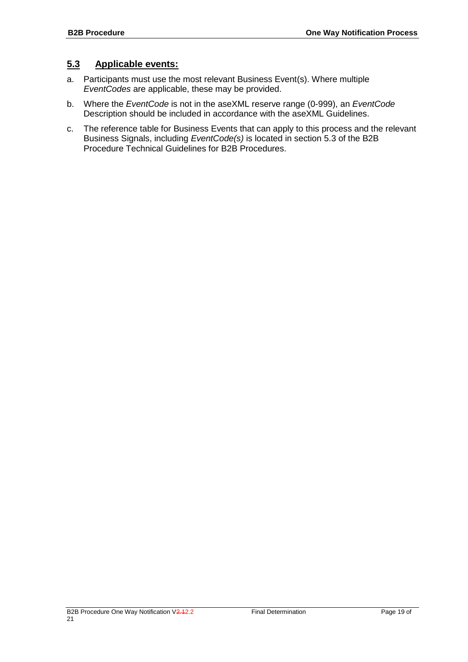#### <span id="page-19-0"></span>**5.3 Applicable events:**

- a. Participants must use the most relevant Business Event(s). Where multiple *EventCodes* are applicable, these may be provided.
- b. Where the *EventCode* is not in the aseXML reserve range (0-999), an *EventCode* Description should be included in accordance with the aseXML Guidelines.
- c. The reference table for Business Events that can apply to this process and the relevant Business Signals, including *EventCode(s)* is located in section 5.3 of the B2B Procedure Technical Guidelines for B2B Procedures.